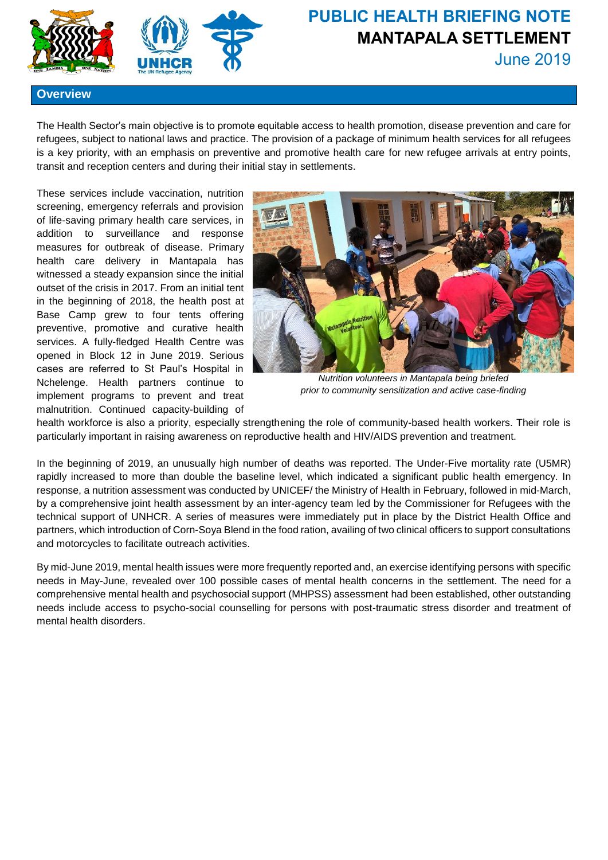



## **PUBLIC HEALTH BRIEFING NOTE MANTAPALA SETTLEMENT** June 2019

**Overview**

The Health Sector's main objective is to promote equitable access to health promotion, disease prevention and care for refugees, subject to national laws and practice. The provision of a package of minimum health services for all refugees is a key priority, with an emphasis on preventive and promotive health care for new refugee arrivals at entry points, transit and reception centers and during their initial stay in settlements.

These services include vaccination, nutrition screening, emergency referrals and provision of life-saving primary health care services, in addition to surveillance and response measures for outbreak of disease. Primary health care delivery in Mantapala has witnessed a steady expansion since the initial outset of the crisis in 2017. From an initial tent in the beginning of 2018, the health post at Base Camp grew to four tents offering preventive, promotive and curative health services. A fully-fledged Health Centre was opened in Block 12 in June 2019. Serious cases are referred to St Paul's Hospital in Nchelenge. Health partners continue to implement programs to prevent and treat malnutrition. Continued capacity-building of



*Nutrition volunteers in Mantapala being briefed prior to community sensitization and active case-finding*

health workforce is also a priority, especially strengthening the role of community-based health workers. Their role is particularly important in raising awareness on reproductive health and HIV/AIDS prevention and treatment.

In the beginning of 2019, an unusually high number of deaths was reported. The Under-Five mortality rate (U5MR) rapidly increased to more than double the baseline level, which indicated a significant public health emergency. In response, a nutrition assessment was conducted by UNICEF/ the Ministry of Health in February, followed in mid-March, by a comprehensive joint health assessment by an inter-agency team led by the Commissioner for Refugees with the technical support of UNHCR. A series of measures were immediately put in place by the District Health Office and partners, which introduction of Corn-Soya Blend in the food ration, availing of two clinical officers to support consultations and motorcycles to facilitate outreach activities.

By mid-June 2019, mental health issues were more frequently reported and, an exercise identifying persons with specific needs in May-June, revealed over 100 possible cases of mental health concerns in the settlement. The need for a comprehensive mental health and psychosocial support (MHPSS) assessment had been established, other outstanding needs include access to psycho-social counselling for persons with post-traumatic stress disorder and treatment of mental health disorders.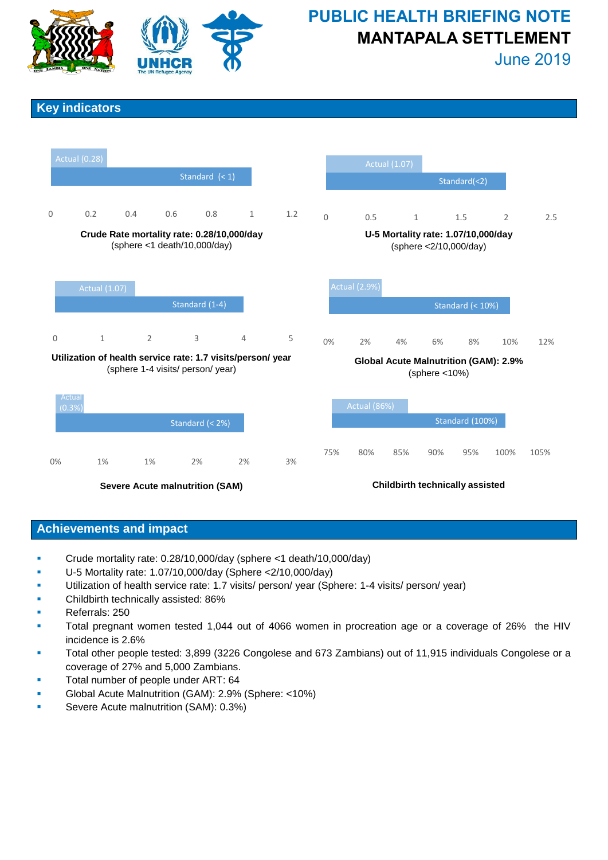

# **PUBLIC HEALTH BRIEFING NOTE MANTAPALA SETTLEMENT**

June 2019

## **Key indicators**



**Severe Acute malnutrition (SAM)**

**Childbirth technically assisted**

### **Achievements and impact**

- Crude mortality rate: 0.28/10,000/day (sphere <1 death/10,000/day)
- U-5 Mortality rate: 1.07/10,000/day (Sphere <2/10,000/day)
- Utilization of health service rate: 1.7 visits/ person/ year (Sphere: 1-4 visits/ person/ year)
- Childbirth technically assisted: 86%
- Referrals: 250
- Total pregnant women tested 1,044 out of 4066 women in procreation age or a coverage of 26% the HIV incidence is 2.6%
- Total other people tested: 3,899 (3226 Congolese and 673 Zambians) out of 11,915 individuals Congolese or a coverage of 27% and 5,000 Zambians.
- Total number of people under ART: 64
- Global Acute Malnutrition (GAM): 2.9% (Sphere: <10%)
- Severe Acute malnutrition (SAM): 0.3%)